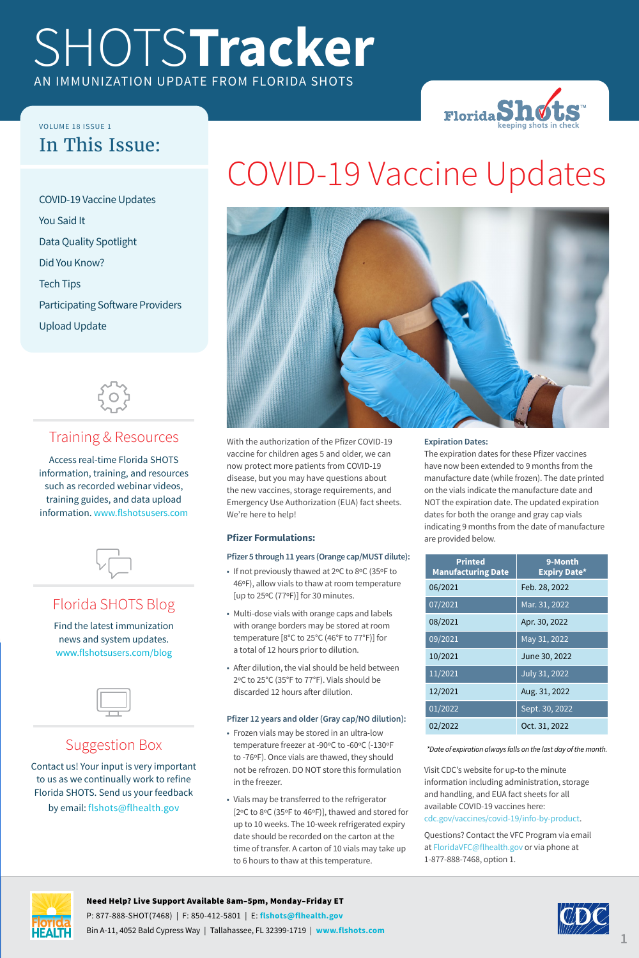## SHOTS**Tracker** AN IMMUNIZATION UPDATE FROM FLORIDA SHOTS



#### VOLUME 18 ISSUE 1 In This Issue:

COVID-19 Vaccine Updates You Said It Data Quality Spotlight Did You Know? Tech Tips Participating Software Providers Upload Update



#### Training & Resources

Access real-time Florida SHOTS information, training, and resources such as recorded webinar videos, training guides, and data upload information. <www.flshotsusers.com>



#### Florida SHOTS Blog

Find the latest immunization news and system updates. <www.flshotsusers.com/blog>



#### Suggestion Box

Contact us! Your input is very important to us as we continually work to refine Florida SHOTS. Send us your feedback by email: [flshots@flhealth.gov](mailto:flshots%40flhealth.gov?subject=)





With the authorization of the Pfizer COVID-19 vaccine for children ages 5 and older, we can now protect more patients from COVID-19 disease, but you may have questions about the new vaccines, storage requirements, and Emergency Use Authorization (EUA) fact sheets. We're here to help!

#### **Pfizer Formulations:**

#### **Pfizer 5 through 11 years (Orange cap/MUST dilute):**

- If not previously thawed at 2ºC to 8ºC (35ºF to 46ºF), allow vials to thaw at room temperature [up to 25ºC (77ºF)] for 30 minutes.
- Multi-dose vials with orange caps and labels with orange borders may be stored at room temperature [8°C to 25°C (46°F to 77°F)] for a total of 12 hours prior to dilution.
- After dilution, the vial should be held between 2ºC to 25°C (35°F to 77°F). Vials should be discarded 12 hours after dilution.

#### **Pfizer 12 years and older (Gray cap/NO dilution):**

- Frozen vials may be stored in an ultra-low temperature freezer at -90ºC to -60ºC (-130ºF to -76ºF). Once vials are thawed, they should not be refrozen. DO NOT store this formulation in the freezer.
- Vials may be transferred to the refrigerator [2ºC to 8ºC (35ºF to 46ºF)], thawed and stored for up to 10 weeks. The 10-week refrigerated expiry date should be recorded on the carton at the time of transfer. A carton of 10 vials may take up to 6 hours to thaw at this temperature.

#### **Expiration Dates:**

The expiration dates for these Pfizer vaccines have now been extended to 9 months from the manufacture date (while frozen). The date printed on the vials indicate the manufacture date and NOT the expiration date. The updated expiration dates for both the orange and gray cap vials indicating 9 months from the date of manufacture are provided below.

| <b>Printed</b><br><b>Manufacturing Date</b> | 9-Month<br><b>Expiry Date*</b> |
|---------------------------------------------|--------------------------------|
| 06/2021                                     | Feb. 28, 2022                  |
| 07/2021                                     | Mar. 31, 2022                  |
| 08/2021                                     | Apr. 30, 2022                  |
| 09/2021                                     | May 31, 2022                   |
| 10/2021                                     | June 30, 2022                  |
| 11/2021                                     | July 31, 2022                  |
| 12/2021                                     | Aug. 31, 2022                  |
| 01/2022                                     | Sept. 30, 2022                 |
| 02/2022                                     | Oct. 31, 2022                  |

*\*Date of expiration always falls on the last day of the month.*

Visit CDC's website for up-to the minute information including administration, storage and handling, and EUA fact sheets for all available COVID-19 vaccines here: [cdc.gov/vaccines/covid-19/info-by-product.](https://www.cdc.gov/vaccines/covid-19/info-by-product/index.html)

Questions? Contact the VFC Program via email at <FloridaVFC@flhealth.gov> or via phone at 1-877-888-7468, option 1.



#### Need Help? Live Support Available 8am–5pm, Monday–Friday ET

P: 877-888-SHOT(7468) | F: 850-412-5801 | E: **[flshots@flhealth.gov](mailto:flshots%40flhealth.gov?subject=)** Bin A-11, 4052 Bald Cypress Way | Tallahassee, FL 32399-1719 | **[www.flshots.com](https://www.flshotsusers.com)**

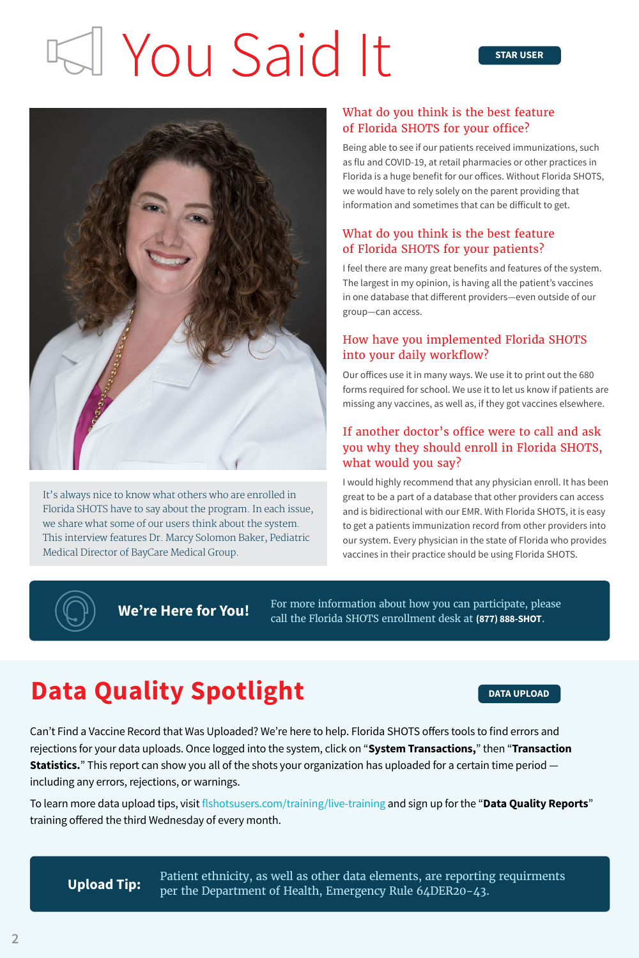## I You Said It



It's always nice to know what others who are enrolled in Florida SHOTS have to say about the program. In each issue, we share what some of our users think about the system. This interview features Dr. Marcy Solomon Baker, Pediatric Medical Director of BayCare Medical Group.

#### What do you think is the best feature of Florida SHOTS for your office?

Being able to see if our patients received immunizations, such as flu and COVID-19, at retail pharmacies or other practices in Florida is a huge benefit for our offices. Without Florida SHOTS, we would have to rely solely on the parent providing that information and sometimes that can be difficult to get.

#### What do you think is the best feature of Florida SHOTS for your patients?

I feel there are many great benefits and features of the system. The largest in my opinion, is having all the patient's vaccines in one database that different providers—even outside of our group—can access.

#### How have you implemented Florida SHOTS into your daily workflow?

Our offices use it in many ways. We use it to print out the 680 forms required for school. We use it to let us know if patients are missing any vaccines, as well as, if they got vaccines elsewhere.

#### If another doctor's office were to call and ask you why they should enroll in Florida SHOTS, what would you say?

I would highly recommend that any physician enroll. It has been great to be a part of a database that other providers can access and is bidirectional with our EMR. With Florida SHOTS, it is easy to get a patients immunization record from other providers into our system. Every physician in the state of Florida who provides vaccines in their practice should be using Florida SHOTS.



**We're Here for You!** For more information about how you can participate, please  $\text{W}$  **We're Here for You!** call the Florida SHOTS enrollment desk at **(877) 888-SHOT**.

## **Data Quality Spotlight Data DATA UPLOAD**

Can't Find a Vaccine Record that Was Uploaded? We're here to help. Florida SHOTS offers tools to find errors and rejections for your data uploads. Once logged into the system, click on "**System Transactions,**" then "**Transaction Statistics.**" This report can show you all of the shots your organization has uploaded for a certain time period including any errors, rejections, or warnings.

To learn more data upload tips, visit [flshotsusers.com/training/live-training](https://flshotsusers.com/training/live-training) and sign up for the "**Data Quality Reports**" training offered the third Wednesday of every month.

Patient ethnicity, as well as other data elements, are reporting requirments **Upload Tip:** Facture Edincity, as well as other data elements, are reporting<br>per the Department of Health, Emergency Rule 64DER20-43.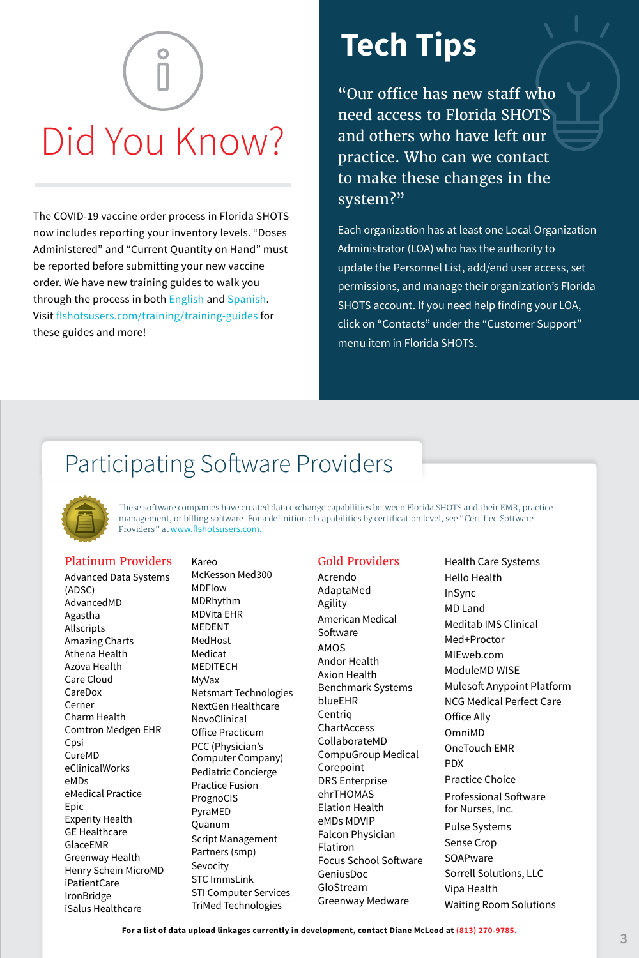# Did You Know?

The COVID-19 vaccine order process in Florida SHOTS now includes reporting your inventory levels. "Doses Administered" and "Current Quantity on Hand" must be reported before submitting your new vaccine order. We have new training guides to walk you through the process in both [English](https://flshotsusers.com/sites/default/files/COVID19VaccineOrdering.pdf) and [Spanish.](https://flshotsusers.com/sites/default/files/COVID19_VaccineOrderingSpanish.pdf) Visit [flshotsusers.com/training/training-guides](https://flshotsusers.com/training/training-guides) for these guides and more!

## **Tech Tips**

"Our office has new staff who need access to Florida SHOTS and others who have left our practice. Who can we contact to make these changes in the system?"

Each organization has at least one Local Organization Administrator (LOA) who has the authority to update the Personnel List, add/end user access, set permissions, and manage their organization's Florida SHOTS account. If you need help finding your LOA, click on "Contacts" under the "Customer Support" menu item in Florida SHOTS.

### Participating Software Providers



These software companies have created data exchange capabilities between Florida SHOTS and their EMR, practice management, or billing software. For a definition of capabilities by certification level, see "Certified Software Providers" at [www.flshotsusers.com.](www.flshotsusers.com)

#### Platinum Providers

Advanced Data Systems (ADSC) AdvancedMD Agastha Allscripts Amazing Charts Athena Health Azova Health Care Cloud CareDox Cerner Charm Health Comtron Medgen EHR Cpsi CureMD eClinicalWorks eMDs eMedical Practice Epic Experity Health GE Healthcare GlaceEMR Greenway Health Henry Schein MicroMD iPatientCare IronBridge iSalus Healthcare

Kareo McKesson Med300 MDFlow MDRhythm MDVita EHR MEDENT MedHost Medicat MEDITECH MyVax Netsmart Technologies NextGen Healthcare NovoClinical Office Practicum PCC (Physician's Computer Company) Pediatric Concierge Practice Fusion PrognoCIS PyraMED Quanum Script Management Partners (smp) Sevocity STC ImmsLink STI Computer Services TriMed Technologies

#### Gold Providers

Acrendo AdaptaMed Agility American Medical Software AMOS Andor Health Axion Health Benchmark Systems blueEHR Centriq ChartAccess CollaborateMD CompuGroup Medical Corepoint DRS Enterprise ehrTHOMAS Elation Health eMDs MDVIP Falcon Physician Flatiron Focus School Software GeniusDoc GloStream Greenway Medware

Health Care Systems Hello Health InSync MD Land Meditab IMS Clinical Med+Proctor MIEweb.com ModuleMD WISE Mulesoft Anypoint Platform NCG Medical Perfect Care Office Ally OmniMD OneTouch EMR PDX Practice Choice Professional Software for Nurses, Inc. Pulse Systems Sense Crop **SOAPware** Sorrell Solutions, LLC Vipa Health Waiting Room Solutions